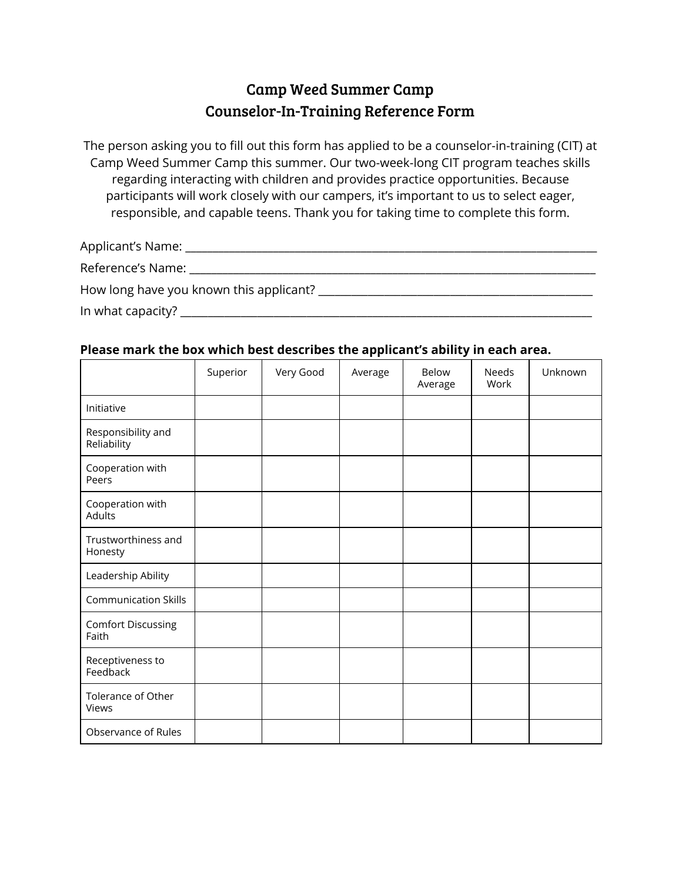## Camp Weed Summer Camp Counselor-In-Training Reference Form

The person asking you to fill out this form has applied to be a counselor-in-training (CIT) at Camp Weed Summer Camp this summer. Our two-week-long CIT program teaches skills regarding interacting with children and provides practice opportunities. Because participants will work closely with our campers, it's important to us to select eager, responsible, and capable teens. Thank you for taking time to complete this form.

| Applicant's Name: __                    |  |
|-----------------------------------------|--|
| Reference's Name:                       |  |
| How long have you known this applicant? |  |
| In what capacity?                       |  |

## **Please mark the box which best describes the applicant's ability in each area.**

|                                    | Superior | Very Good | Average | Below<br>Average | Needs<br>Work | Unknown |
|------------------------------------|----------|-----------|---------|------------------|---------------|---------|
| Initiative                         |          |           |         |                  |               |         |
| Responsibility and<br>Reliability  |          |           |         |                  |               |         |
| Cooperation with<br>Peers          |          |           |         |                  |               |         |
| Cooperation with<br>Adults         |          |           |         |                  |               |         |
| Trustworthiness and<br>Honesty     |          |           |         |                  |               |         |
| Leadership Ability                 |          |           |         |                  |               |         |
| <b>Communication Skills</b>        |          |           |         |                  |               |         |
| <b>Comfort Discussing</b><br>Faith |          |           |         |                  |               |         |
| Receptiveness to<br>Feedback       |          |           |         |                  |               |         |
| Tolerance of Other<br>Views        |          |           |         |                  |               |         |
| Observance of Rules                |          |           |         |                  |               |         |